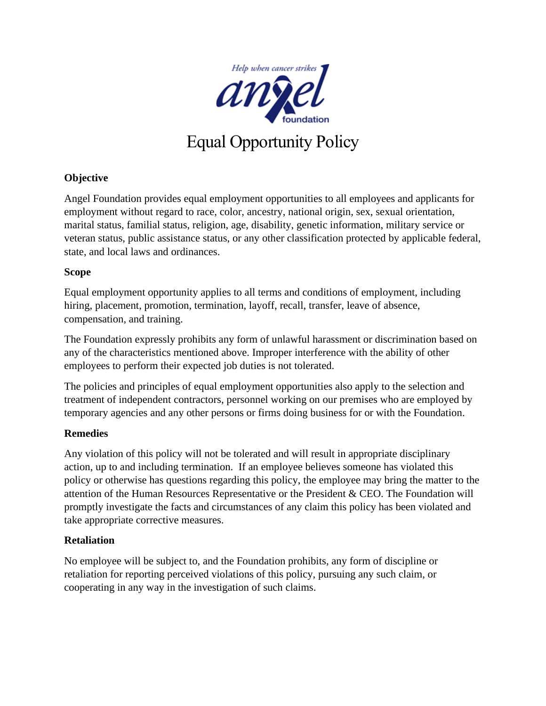

# **Objective**

Angel Foundation provides equal employment opportunities to all employees and applicants for employment without regard to race, color, ancestry, national origin, sex, sexual orientation, marital status, familial status, religion, age, disability, genetic information, military service or veteran status, public assistance status, or any other classification protected by applicable federal, state, and local laws and ordinances.

## **Scope**

Equal employment opportunity applies to all terms and conditions of employment, including hiring, placement, promotion, termination, layoff, recall, transfer, leave of absence, compensation, and training.

The Foundation expressly prohibits any form of unlawful harassment or discrimination based on any of the characteristics mentioned above. Improper interference with the ability of other employees to perform their expected job duties is not tolerated.

The policies and principles of equal employment opportunities also apply to the selection and treatment of independent contractors, personnel working on our premises who are employed by temporary agencies and any other persons or firms doing business for or with the Foundation.

## **Remedies**

Any violation of this policy will not be tolerated and will result in appropriate disciplinary action, up to and including termination. If an employee believes someone has violated this policy or otherwise has questions regarding this policy, the employee may bring the matter to the attention of the Human Resources Representative or the President & CEO. The Foundation will promptly investigate the facts and circumstances of any claim this policy has been violated and take appropriate corrective measures.

## **Retaliation**

No employee will be subject to, and the Foundation prohibits, any form of discipline or retaliation for reporting perceived violations of this policy, pursuing any such claim, or cooperating in any way in the investigation of such claims.